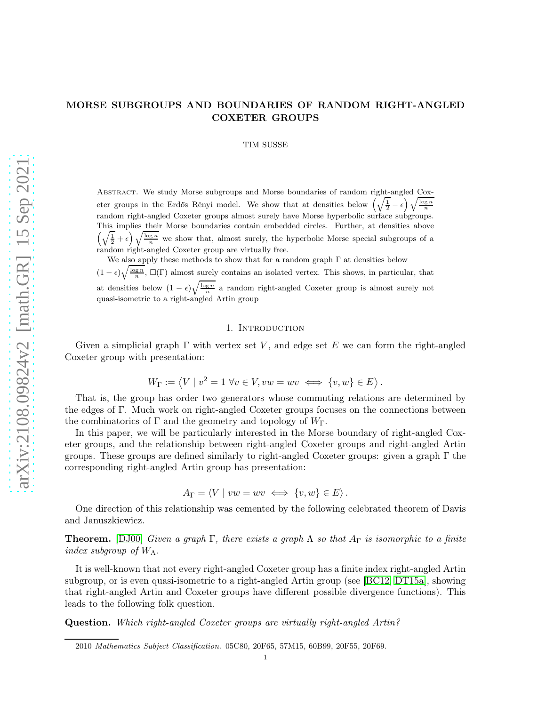# MORSE SUBGROUPS AND BOUNDARIES OF RANDOM RIGHT-ANGLED COXETER GROUPS

TIM SUSSE

Abstract. We study Morse subgroups and Morse boundaries of random right-angled Coxeter groups in the Erdős–Rényi model. We show that at densities below  $\left(\sqrt{\frac{1}{2}} - \epsilon\right) \sqrt{\frac{\log n}{n}}$ random right-angled Coxeter groups almost surely have Morse hyperbolic surface subgroups. This implies their Morse boundaries contain embedded circles. Further, at densities above  $\left(\sqrt{\frac{1}{2}} + \epsilon\right)\sqrt{\frac{\log n}{n}}$  we show that, almost surely, the hyperbolic Morse special subgroups of a random right-angled Coxeter group are virtually free.

We also apply these methods to show that for a random graph  $\Gamma$  at densities below  $(1-\epsilon)\sqrt{\frac{\log n}{n}}$ ,  $\square(\Gamma)$  almost surely contains an isolated vertex. This shows, in particular, that at densities below  $(1 - \epsilon)\sqrt{\frac{\log n}{n}}$  a random right-angled Coxeter group is almost surely not quasi-isometric to a right-angled Artin group

# 1. INTRODUCTION

Given a simplicial graph  $\Gamma$  with vertex set V, and edge set E we can form the right-angled Coxeter group with presentation:

$$
W_{\Gamma} := \langle V \mid v^2 = 1 \,\forall v \in V, vw = wv \iff \{v, w\} \in E \rangle.
$$

That is, the group has order two generators whose commuting relations are determined by the edges of Γ. Much work on right-angled Coxeter groups focuses on the connections between the combinatorics of  $\Gamma$  and the geometry and topology of  $W_{\Gamma}$ .

In this paper, we will be particularly interested in the Morse boundary of right-angled Coxeter groups, and the relationship between right-angled Coxeter groups and right-angled Artin groups. These groups are defined similarly to right-angled Coxeter groups: given a graph Γ the corresponding right-angled Artin group has presentation:

$$
A_{\Gamma} = \langle V \mid vw = wv \iff \{v, w\} \in E \rangle.
$$

One direction of this relationship was cemented by the following celebrated theorem of Davis and Januszkiewicz.

**Theorem.** [\[DJ00\]](#page-12-0) *Given a graph*  $\Gamma$ *, there exists a graph*  $\Lambda$  *so that*  $A_{\Gamma}$  *is isomorphic to a finite index subgroup of*  $W_{\Lambda}$ .

It is well-known that not every right-angled Coxeter group has a finite index right-angled Artin subgroup, or is even quasi-isometric to a right-angled Artin group (see [\[BC12,](#page-12-1) [DT15a\]](#page-12-2), showing that right-angled Artin and Coxeter groups have different possible divergence functions). This leads to the following folk question.

Question. *Which right-angled Coxeter groups are virtually right-angled Artin?*

<sup>2010</sup> Mathematics Subject Classification. 05C80, 20F65, 57M15, 60B99, 20F55, 20F69.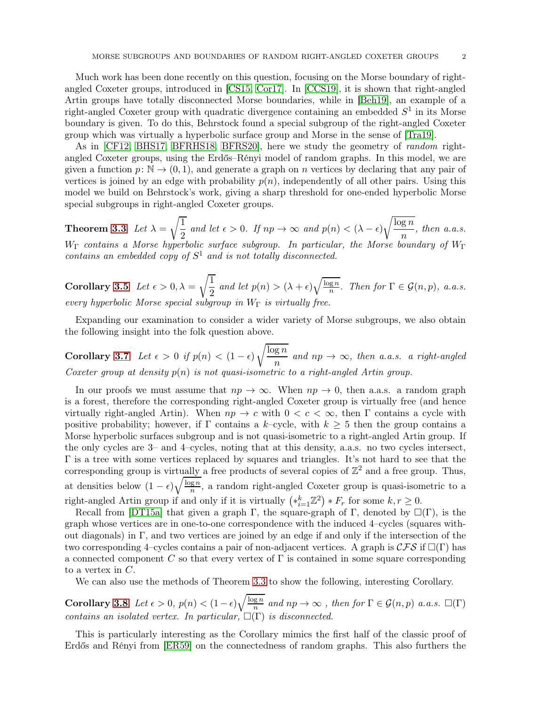Much work has been done recently on this question, focusing on the Morse boundary of rightangled Coxeter groups, introduced in [\[CS15,](#page-12-3) [Cor17\]](#page-12-4). In [\[CCS19\]](#page-12-5), it is shown that right-angled Artin groups have totally disconnected Morse boundaries, while in [\[Beh19\]](#page-12-6), an example of a right-angled Coxeter group with quadratic divergence containing an embedded  $S<sup>1</sup>$  in its Morse boundary is given. To do this, Behrstock found a special subgroup of the right-angled Coxeter group which was virtually a hyperbolic surface group and Morse in the sense of [\[Tra19\]](#page-13-0).

As in [\[CF12,](#page-12-7) [BHS17,](#page-12-8) [BFRHS18,](#page-12-9) [BFRS20\]](#page-12-10), here we study the geometry of *random* rightangled Coxeter groups, using the Erdős–Rényi model of random graphs. In this model, we are given a function  $p: \mathbb{N} \to (0, 1)$ , and generate a graph on *n* vertices by declaring that any pair of vertices is joined by an edge with probability  $p(n)$ , independently of all other pairs. Using this model we build on Behrstock's work, giving a sharp threshold for one-ended hyperbolic Morse special subgroups in right-angled Coxeter groups.

**Theorem [3.3](#page-8-0)** *Let*  $\lambda =$  $\sqrt{1}$  $\frac{1}{2}$  and let  $\epsilon > 0$ . If  $np \to \infty$  and  $p(n) < (\lambda - \epsilon)$  $\log n$  $\frac{8}{n}$ , then a.a.s.  $W_{\Gamma}$  *contains a Morse hyperbolic surface subgroup. In particular, the Morse boundary of*  $W_{\Gamma}$ *contains an embedded copy of* S <sup>1</sup> *and is not totally disconnected.*

Corollary [3.5](#page-11-0) *Let*  $\epsilon > 0, \lambda =$  $\sqrt{1}$  $\frac{1}{2}$  and let  $p(n) > (\lambda + \epsilon) \sqrt{\frac{\log n}{n}}$  $\frac{g n}{n}$ *.* Then for  $\Gamma \in \mathcal{G}(n, p)$ *, a.a.s. every hyperbolic Morse special subgroup in* W<sup>Γ</sup> *is virtually free.*

Expanding our examination to consider a wider variety of Morse subgroups, we also obtain the following insight into the folk question above.

Corollary [3.7](#page-11-1) *Let*  $\epsilon > 0$  *if*  $p(n) < (1 - \epsilon)$  $\log n$  $\frac{S^{n}}{n}$  and  $np \to \infty$ , then a.a.s. a right-angled *Coxeter group at density* p(n) *is not quasi-isometric to a right-angled Artin group.*

In our proofs we must assume that  $np \to \infty$ . When  $np \to 0$ , then a.s. a random graph is a forest, therefore the corresponding right-angled Coxeter group is virtually free (and hence virtually right-angled Artin). When  $np \to c$  with  $0 < c < \infty$ , then  $\Gamma$  contains a cycle with positive probability; however, if  $\Gamma$  contains a k–cycle, with  $k \geq 5$  then the group contains a Morse hyperbolic surfaces subgroup and is not quasi-isometric to a right-angled Artin group. If the only cycles are 3– and 4–cycles, noting that at this density, a.a.s. no two cycles intersect, Γ is a tree with some vertices replaced by squares and triangles. It's not hard to see that the corresponding group is virtually a free products of several copies of  $\mathbb{Z}^2$  and a free group. Thus, at densities below  $(1 - \epsilon) \sqrt{\frac{\log n}{n}}$  $\frac{gn}{n}$ , a random right-angled Coxeter group is quasi-isometric to a right-angled Artin group if and only if it is virtually  $(*_{i=1}^k \mathbb{Z}^2) * F_r$  for some  $k, r \geq 0$ .

Recall from [\[DT15a\]](#page-12-2) that given a graph  $\Gamma$ , the square-graph of  $\Gamma$ , denoted by  $\square(\Gamma)$ , is the graph whose vertices are in one-to-one correspondence with the induced 4–cycles (squares without diagonals) in  $\Gamma$ , and two vertices are joined by an edge if and only if the intersection of the two corresponding 4–cycles contains a pair of non-adjacent vertices. A graph is  $CFS$  if  $\square(\Gamma)$  has a connected component C so that every vertex of  $\Gamma$  is contained in some square corresponding to a vertex in  $C$ .

We can also use the methods of Theorem [3.3](#page-8-0) to show the following, interesting Corollary.

Corollary [3.8](#page-12-11) *Let*  $\epsilon > 0$ ,  $p(n) < (1 - \epsilon) \sqrt{\frac{\log n}{n}}$  $\frac{g n}{n}$  and  $n p \to \infty$ , then for  $\Gamma \in \mathcal{G}(n, p)$  *a.a.s.*  $\square(\Gamma)$ *contains an isolated vertex. In particular,*  $\square(\Gamma)$  *is disconnected.* 

This is particularly interesting as the Corollary mimics the first half of the classic proof of Erdős and Rényi from [\[ER59\]](#page-12-12) on the connectedness of random graphs. This also furthers the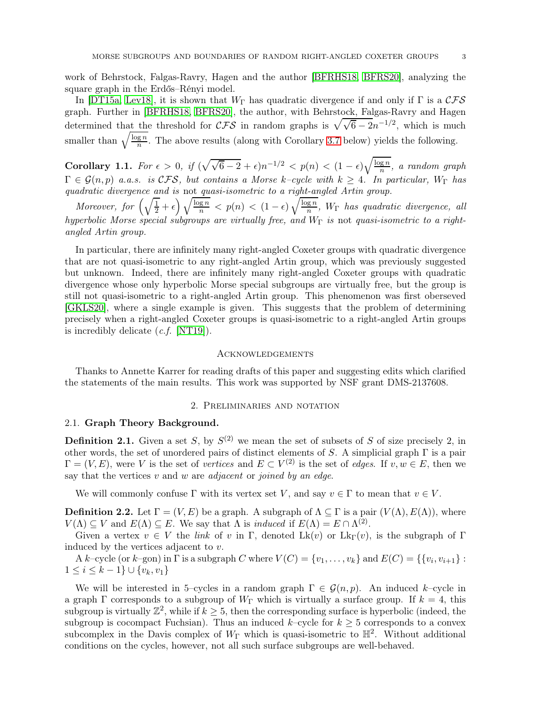work of Behrstock, Falgas-Ravry, Hagen and the author [\[BFRHS18,](#page-12-9) [BFRS20\]](#page-12-10), analyzing the square graph in the Erdős–Rényi model.

In [\[DT15a,](#page-12-2) [Lev18\]](#page-12-13), it is shown that  $W_{\Gamma}$  has quadratic divergence if and only if  $\Gamma$  is a  $\mathcal{CFS}$ graph. Further in [\[BFRHS18,](#page-12-9) [BFRS20\]](#page-12-10), the author, with Behrstock, Falgas-Ravry and Hagen determined that the threshold for  $\mathcal{CFS}$  in random graphs is  $\sqrt{\sqrt{6}-2n^{-1/2}}$ , which is much smaller than  $\sqrt{\frac{\log n}{n}}$  $\frac{gn}{n}$ . The above results (along with Corollary [3.7](#page-11-1) below) yields the following.

Corollary 1.1. *For*  $\epsilon > 0$ , if  $(\sqrt{\sqrt{6} - 2} + \epsilon)n^{-1/2} < p(n) < (1 - \epsilon)\sqrt{\frac{\log n}{n}}$  $\frac{g n}{n}$ , a random graph  $\Gamma \in \mathcal{G}(n, p)$  *a.a.s. is*  $\mathcal{CFS}$ *, but contains a Morse* k–cycle with  $k \geq 4$ *. In particular,*  $W_{\Gamma}$  *has quadratic divergence and is* not *quasi-isometric to a right-angled Artin group.*

*Moreover, for*  $\left(\sqrt{\frac{1}{2}} + \epsilon\right) \sqrt{\frac{\log n}{n}} < p(n) < (1 - \epsilon) \sqrt{\frac{\log n}{n}}$  $\frac{g n}{n}$ ,  $W_{\Gamma}$  *has quadratic divergence, all hyperbolic Morse special subgroups are virtually free, and*  $W_{\Gamma}$  *is* not *quasi-isometric to a rightangled Artin group.*

In particular, there are infinitely many right-angled Coxeter groups with quadratic divergence that are not quasi-isometric to any right-angled Artin group, which was previously suggested but unknown. Indeed, there are infinitely many right-angled Coxeter groups with quadratic divergence whose only hyperbolic Morse special subgroups are virtually free, but the group is still not quasi-isometric to a right-angled Artin group. This phenomenon was first oberseved [\[GKLS20\]](#page-12-14), where a single example is given. This suggests that the problem of determining precisely when a right-angled Coxeter groups is quasi-isometric to a right-angled Artin groups is incredibly delicate (*c.f.* [\[NT19\]](#page-12-15)).

#### **ACKNOWLEDGEMENTS**

Thanks to Annette Karrer for reading drafts of this paper and suggesting edits which clarified the statements of the main results. This work was supported by NSF grant DMS-2137608.

#### 2. Preliminaries and notation

#### 2.1. Graph Theory Background.

**Definition 2.1.** Given a set S, by  $S^{(2)}$  we mean the set of subsets of S of size precisely 2, in other words, the set of unordered pairs of distinct elements of S. A simplicial graph  $\Gamma$  is a pair  $\Gamma = (V, E)$ , were V is the set of *vertices* and  $E \subset V^{(2)}$  is the set of *edges*. If  $v, w \in E$ , then we say that the vertices v and w are *adjacent* or *joined by an edge*.

We will commonly confuse  $\Gamma$  with its vertex set V, and say  $v \in \Gamma$  to mean that  $v \in V$ .

**Definition 2.2.** Let  $\Gamma = (V, E)$  be a graph. A subgraph of  $\Lambda \subseteq \Gamma$  is a pair  $(V(\Lambda), E(\Lambda))$ , where  $V(\Lambda) \subseteq V$  and  $E(\Lambda) \subseteq E$ . We say that  $\Lambda$  is *induced* if  $E(\Lambda) = E \cap \Lambda^{(2)}$ .

Given a vertex  $v \in V$  the *link* of v in Γ, denoted Lk(v) or Lk<sub>Γ</sub>(v), is the subgraph of Γ induced by the vertices adjacent to v.

A k–cycle (or k–gon) in  $\Gamma$  is a subgraph C where  $V(C) = \{v_1, \ldots, v_k\}$  and  $E(C) = \{\{v_i, v_{i+1}\} :$  $1 \leq i \leq k-1$   $\cup \{v_k, v_1\}$ 

We will be interested in 5–cycles in a random graph  $\Gamma \in \mathcal{G}(n,p)$ . An induced k–cycle in a graph  $\Gamma$  corresponds to a subgroup of  $W_{\Gamma}$  which is virtually a surface group. If  $k = 4$ , this subgroup is virtually  $\mathbb{Z}^2$ , while if  $k \geq 5$ , then the corresponding surface is hyperbolic (indeed, the subgroup is cocompact Fuchsian). Thus an induced k–cycle for  $k \geq 5$  corresponds to a convex subcomplex in the Davis complex of  $W_{\Gamma}$  which is quasi-isometric to  $\mathbb{H}^2$ . Without additional conditions on the cycles, however, not all such surface subgroups are well-behaved.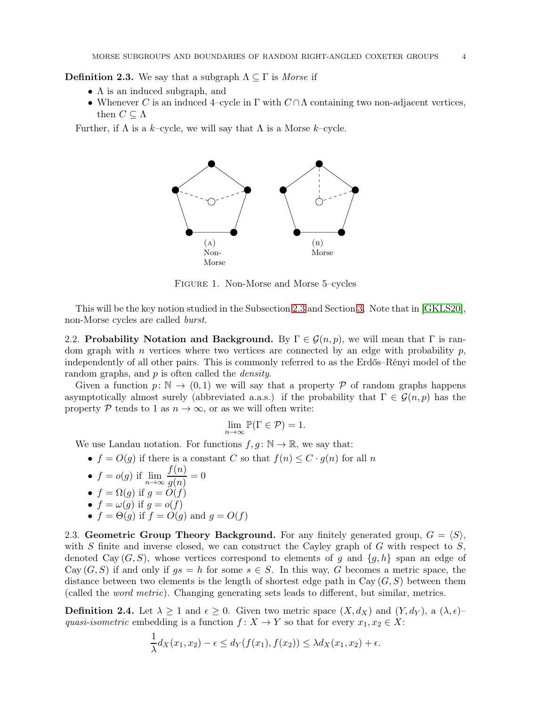**Definition 2.3.** We say that a subgraph  $\Lambda \subseteq \Gamma$  is *Morse* if

- $\Lambda$  is an induced subgraph, and
- Whenever C is an induced 4–cycle in  $\Gamma$  with  $C \cap \Lambda$  containing two non-adjacent vertices, then  $C \subseteq \Lambda$

<span id="page-3-1"></span>Further, if  $\Lambda$  is a k–cycle, we will say that  $\Lambda$  is a Morse k–cycle.



Figure 1. Non-Morse and Morse 5–cycles

This will be the key notion studied in the Subsection [2.3](#page-3-0) and Section [3.](#page-5-0) Note that in [\[GKLS20\]](#page-12-14), non-Morse cycles are called *burst*.

2.2. Probability Notation and Background. By  $\Gamma \in \mathcal{G}(n, p)$ , we will mean that  $\Gamma$  is random graph with n vertices where two vertices are connected by an edge with probability  $p$ , independently of all other pairs. This is commonly referred to as the Erdős–Rényi model of the random graphs, and p is often called the *density*.

Given a function  $p: \mathbb{N} \to (0, 1)$  we will say that a property P of random graphs happens asymptotically almost surely (abbreviated a.a.s.) if the probability that  $\Gamma \in \mathcal{G}(n, p)$  has the property P tends to 1 as  $n \to \infty$ , or as we will often write:

$$
\lim_{n \to \infty} \mathbb{P}(\Gamma \in \mathcal{P}) = 1.
$$

We use Landau notation. For functions  $f, g: \mathbb{N} \to \mathbb{R}$ , we say that:

- $f = O(g)$  if there is a constant C so that  $f(n) \leq C \cdot g(n)$  for all n
- $f = o(g)$  if  $\lim_{n \to \infty} \frac{f(n)}{g(n)}$
- $\frac{f^{(n)}}{g(n)}=0$
- $f = \Omega(g)$  if  $g = O(f)$
- $f = \omega(g)$  if  $g = o(f)$
- $f = \Theta(g)$  if  $f = O(g)$  and  $g = O(f)$

<span id="page-3-0"></span>2.3. Geometric Group Theory Background. For any finitely generated group,  $G = \langle S \rangle$ , with S finite and inverse closed, we can construct the Cayley graph of G with respect to  $S$ , denoted Cay  $(G, S)$ , whose vertices correspond to elements of g and  $\{g, h\}$  span an edge of Cay  $(G, S)$  if and only if  $gs = h$  for some  $s \in S$ . In this way, G becomes a metric space, the distance between two elements is the length of shortest edge path in Cay  $(G, S)$  between them (called the *word metric*). Changing generating sets leads to different, but similar, metrics.

**Definition 2.4.** Let  $\lambda \geq 1$  and  $\epsilon \geq 0$ . Given two metric space  $(X, d_X)$  and  $(Y, d_Y)$ , a  $(\lambda, \epsilon)$ – *quasi-isometric* embedding is a function  $f: X \to Y$  so that for every  $x_1, x_2 \in X$ :

$$
\frac{1}{\lambda}d_X(x_1,x_2)-\epsilon \leq d_Y(f(x_1),f(x_2)) \leq \lambda d_X(x_1,x_2)+\epsilon.
$$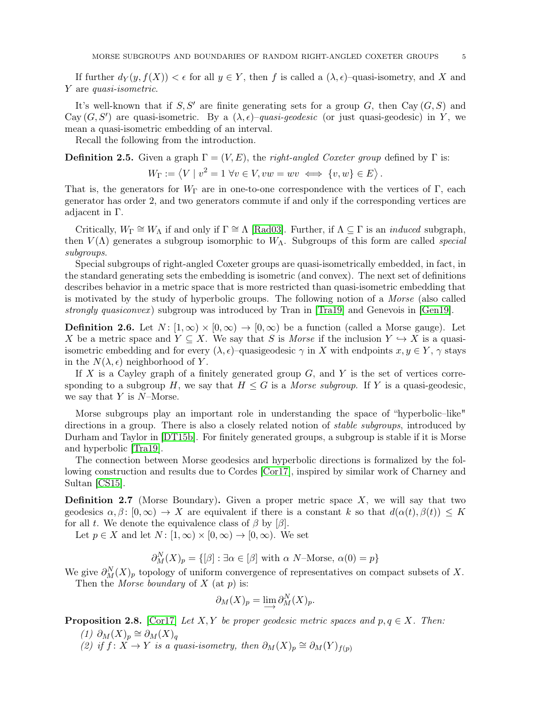If further  $d_Y(y, f(X)) < \epsilon$  for all  $y \in Y$ , then f is called a  $(\lambda, \epsilon)$ –quasi-isometry, and X and Y are *quasi-isometric*.

It's well-known that if  $S, S'$  are finite generating sets for a group G, then Cay  $(G, S)$  and Cay  $(G, S')$  are quasi-isometric. By a  $(\lambda, \epsilon)$ -quasi-geodesic (or just quasi-geodesic) in Y, we mean a quasi-isometric embedding of an interval.

Recall the following from the introduction.

**Definition 2.5.** Given a graph  $\Gamma = (V, E)$ , the *right-angled Coxeter group* defined by  $\Gamma$  is:

 $W_{\Gamma} := \langle V \mid v^2 = 1 \ \forall v \in V, vw = wv \iff \{v, w\} \in E \rangle.$ 

That is, the generators for  $W_{\Gamma}$  are in one-to-one correspondence with the vertices of  $\Gamma$ , each generator has order 2, and two generators commute if and only if the corresponding vertices are adjacent in Γ.

Critically,  $W_{\Gamma} \cong W_{\Lambda}$  if and only if  $\Gamma \cong \Lambda$  [\[Rad03\]](#page-12-16). Further, if  $\Lambda \subseteq \Gamma$  is an *induced* subgraph, then  $V(\Lambda)$  generates a subgroup isomorphic to  $W_{\Lambda}$ . Subgroups of this form are called *special subgroups*.

Special subgroups of right-angled Coxeter groups are quasi-isometrically embedded, in fact, in the standard generating sets the embedding is isometric (and convex). The next set of definitions describes behavior in a metric space that is more restricted than quasi-isometric embedding that is motivated by the study of hyperbolic groups. The following notion of a *Morse* (also called *strongly quasiconvex* ) subgroup was introduced by Tran in [\[Tra19\]](#page-13-0) and Genevois in [\[Gen19\]](#page-12-17).

**Definition 2.6.** Let  $N: [1, \infty) \times [0, \infty) \to [0, \infty)$  be a function (called a Morse gauge). Let X be a metric space and  $Y \subseteq X$ . We say that S is *Morse* if the inclusion  $Y \hookrightarrow X$  is a quasiisometric embedding and for every  $(\lambda, \epsilon)$ –quasigeodesic  $\gamma$  in X with endpoints  $x, y \in Y$ ,  $\gamma$  stays in the  $N(\lambda, \epsilon)$  neighborhood of Y.

If X is a Cayley graph of a finitely generated group  $G$ , and Y is the set of vertices corresponding to a subgroup H, we say that  $H \leq G$  is a *Morse subgroup*. If Y is a quasi-geodesic, we say that  $Y$  is  $N$ –Morse.

Morse subgroups play an important role in understanding the space of "hyperbolic–like" directions in a group. There is also a closely related notion of *stable subgroups*, introduced by Durham and Taylor in [\[DT15b\]](#page-12-18). For finitely generated groups, a subgroup is stable if it is Morse and hyperbolic [\[Tra19\]](#page-13-0).

The connection between Morse geodesics and hyperbolic directions is formalized by the following construction and results due to Cordes [\[Cor17\]](#page-12-4), inspired by similar work of Charney and Sultan [\[CS15\]](#page-12-3).

**Definition 2.7** (Morse Boundary). Given a proper metric space  $X$ , we will say that two geodesics  $\alpha, \beta : [0, \infty) \to X$  are equivalent if there is a constant k so that  $d(\alpha(t), \beta(t)) \leq K$ for all t. We denote the equivalence class of  $\beta$  by  $[\beta]$ .

Let  $p \in X$  and let  $N: [1, \infty) \times [0, \infty) \to [0, \infty)$ . We set

 $\partial_M^N(X)_p = \{ [\beta] : \exists \alpha \in [\beta] \text{ with } \alpha \text{ } N\text{-Morse, } \alpha(0) = p \}$ 

We give  $\partial_M^N(X)_p$  topology of uniform convergence of representatives on compact subsets of X. Then the *Morse boundary* of X (at p) is:

$$
\partial_M(X)_p = \varinjlim \partial_M^N(X)_p.
$$

<span id="page-4-0"></span>**Proposition 2.8.** [\[Cor17\]](#page-12-4) *Let*  $X, Y$  *be proper geodesic metric spaces and*  $p, q \in X$ *. Then:* 

- $(1)$  ∂<sub>M</sub> $(X)_p \cong \partial_M(X)_q$
- (2) if  $f: X \to Y$  is a quasi-isometry, then  $\partial_M(X)_p \cong \partial_M(Y)_{f(p)}$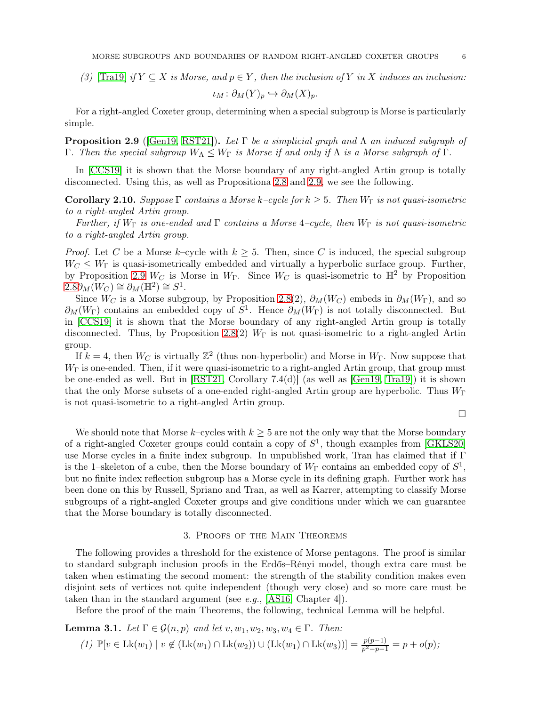- 
- *(3)*  $[\text{Tra} 19]$  *if*  $Y \subseteq X$  *is Morse, and*  $p \in Y$ *, then the inclusion of* Y *in* X *induces an inclusion:*

$$
\iota_M\colon \partial_M(Y)_p \hookrightarrow \partial_M(X)_p.
$$

For a right-angled Coxeter group, determining when a special subgroup is Morse is particularly simple.

<span id="page-5-1"></span>Proposition 2.9 ([\[Gen19,](#page-12-17) [RST21\]](#page-13-1)). *Let* Γ *be a simplicial graph and* Λ *an induced subgraph of* Γ. Then the special subgroup  $W_{\Lambda} \leq W_{\Gamma}$  is Morse if and only if  $\Lambda$  is a Morse subgraph of Γ.

In [\[CCS19\]](#page-12-5) it is shown that the Morse boundary of any right-angled Artin group is totally disconnected. Using this, as well as Propositiona [2.8](#page-4-0) and [2.9,](#page-5-1) we see the following.

<span id="page-5-3"></span>Corollary 2.10. *Suppose* Γ *contains a Morse* k*–cycle for* k ≥ 5*. Then* W<sup>Γ</sup> *is not quasi-isometric to a right-angled Artin group.*

*Further, if* W<sup>Γ</sup> *is one-ended and* Γ *contains a Morse* 4*–cycle, then* W<sup>Γ</sup> *is not quasi-isometric to a right-angled Artin group.*

*Proof.* Let C be a Morse k–cycle with  $k \geq 5$ . Then, since C is induced, the special subgroup  $W_C \leq W_{\Gamma}$  is quasi-isometrically embedded and virtually a hyperbolic surface group. Further, by Proposition [2.9](#page-5-1) W<sub>C</sub> is Morse in W<sub>Γ</sub>. Since W<sub>C</sub> is quasi-isometric to  $\mathbb{H}^2$  by Proposition  $2.8\partial_M(W_C) \cong \partial_M(\mathbb{H}^2) \cong S^1.$  $2.8\partial_M(W_C) \cong \partial_M(\mathbb{H}^2) \cong S^1.$ 

Since  $W_C$  is a Morse subgroup, by Proposition [2.8\(](#page-4-0)2),  $\partial_M(W_C)$  embeds in  $\partial_M(W_{\Gamma})$ , and so  $\partial_M(W_\Gamma)$  contains an embedded copy of  $S^1$ . Hence  $\partial_M(W_\Gamma)$  is not totally disconnected. But in [\[CCS19\]](#page-12-5) it is shown that the Morse boundary of any right-angled Artin group is totally disconnected. Thus, by Proposition [2.8\(](#page-4-0)2)  $W_{\Gamma}$  is not quasi-isometric to a right-angled Artin group.

If  $k = 4$ , then  $W_C$  is virtually  $\mathbb{Z}^2$  (thus non-hyperbolic) and Morse in  $W_{\Gamma}$ . Now suppose that  $W_{\Gamma}$  is one-ended. Then, if it were quasi-isometric to a right-angled Artin group, that group must be one-ended as well. But in [\[RST21,](#page-13-1) Corollary 7.4(d)] (as well as [\[Gen19,](#page-12-17) [Tra19\]](#page-13-0)) it is shown that the only Morse subsets of a one-ended right-angled Artin group are hyperbolic. Thus  $W_{\Gamma}$ is not quasi-isometric to a right-angled Artin group.

 $\Box$ 

We should note that Morse k–cycles with  $k > 5$  are not the only way that the Morse boundary of a right-angled Coxeter groups could contain a copy of  $S<sup>1</sup>$ , though examples from [\[GKLS20\]](#page-12-14) use Morse cycles in a finite index subgroup. In unpublished work, Tran has claimed that if Γ is the 1–skeleton of a cube, then the Morse boundary of  $W_{\Gamma}$  contains an embedded copy of  $S^1$ , but no finite index reflection subgroup has a Morse cycle in its defining graph. Further work has been done on this by Russell, Spriano and Tran, as well as Karrer, attempting to classify Morse subgroups of a right-angled Coxeter groups and give conditions under which we can guarantee that the Morse boundary is totally disconnected.

## 3. Proofs of the Main Theorems

<span id="page-5-0"></span>The following provides a threshold for the existence of Morse pentagons. The proof is similar to standard subgraph inclusion proofs in the Erdős–Rényi model, though extra care must be taken when estimating the second moment: the strength of the stability condition makes even disjoint sets of vertices not quite independent (though very close) and so more care must be taken than in the standard argument (see *e.g.*, [\[AS16,](#page-12-19) Chapter 4]).

Before the proof of the main Theorems, the following, technical Lemma will be helpful.

<span id="page-5-2"></span>**Lemma 3.1.** *Let*  $\Gamma \in \mathcal{G}(n, p)$  *and let*  $v, w_1, w_2, w_3, w_4 \in \Gamma$ *. Then:* 

$$
(1) \mathbb{P}[v \in \mathrm{Lk}(w_1) \mid v \notin (\mathrm{Lk}(w_1) \cap \mathrm{Lk}(w_2)) \cup (\mathrm{Lk}(w_1) \cap \mathrm{Lk}(w_3))] = \frac{p(p-1)}{p^2 - p - 1} = p + o(p);
$$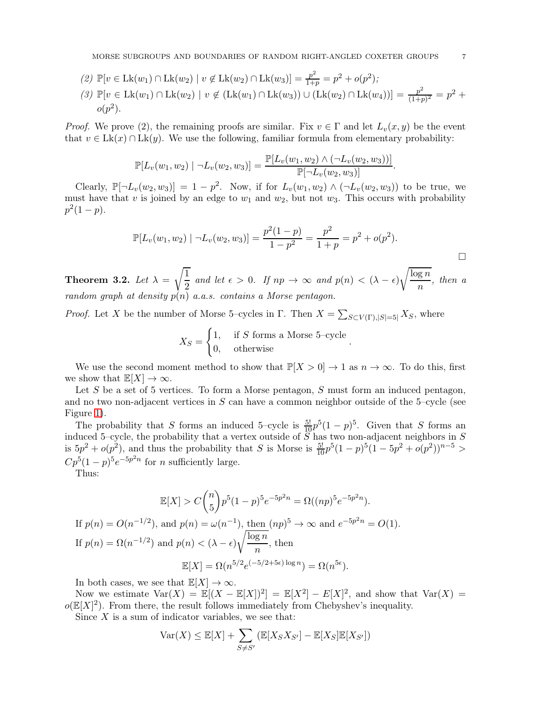(2) 
$$
\mathbb{P}[v \in \text{Lk}(w_1) \cap \text{Lk}(w_2) | v \notin \text{Lk}(w_2) \cap \text{Lk}(w_3)] = \frac{p^2}{1+p} = p^2 + o(p^2);
$$
  
(3)  $\mathbb{P}[v \in \text{Lk}(w_1) \cap \text{Lk}(w_2) | v \notin (\text{Lk}(w_1) \cap \text{Lk}(w_3)) \cup (\text{Lk}(w_2) \cap \text{Lk}(w_4))] = \frac{p^2}{(1+p)^2} = p^2 + o(p^2).$ 

*Proof.* We prove (2), the remaining proofs are similar. Fix  $v \in \Gamma$  and let  $L_v(x, y)$  be the event that  $v \in Lk(x) \cap Lk(y)$ . We use the following, familiar formula from elementary probability:

$$
\mathbb{P}[L_v(w_1, w_2) | \neg L_v(w_2, w_3)] = \frac{\mathbb{P}[L_v(w_1, w_2) \land (\neg L_v(w_2, w_3))]}{\mathbb{P}[\neg L_v(w_2, w_3)]}.
$$

Clearly,  $\mathbb{P}[\neg L_v(w_2, w_3)] = 1 - p^2$ . Now, if for  $L_v(w_1, w_2) \wedge (\neg L_v(w_2, w_3))$  to be true, we must have that v is joined by an edge to  $w_1$  and  $w_2$ , but not  $w_3$ . This occurs with probability  $p^2(1-p)$ .

$$
\mathbb{P}[L_v(w_1, w_2) | \neg L_v(w_2, w_3)] = \frac{p^2(1-p)}{1-p^2} = \frac{p^2}{1+p} = p^2 + o(p^2).
$$

<span id="page-6-0"></span>**Theorem 3.2.** *Let*  $\lambda =$  $\sqrt{1}$  $\frac{1}{2}$  and let  $\epsilon > 0$ . If  $np \to \infty$  and  $p(n) < (\lambda - \epsilon)$  $\log n$  $\frac{e^{n}}{n}$ *, then a random graph at density* p(n) *a.a.s. contains a Morse pentagon.*

*Proof.* Let X be the number of Morse 5-cycles in  $\Gamma$ . Then  $X = \sum_{S \subset V(\Gamma), |S| = 5} X_S$ , where

$$
X_S = \begin{cases} 1, & \text{if } S \text{ forms a Morse 5-cycle} \\ 0, & \text{otherwise} \end{cases}.
$$

We use the second moment method to show that  $\mathbb{P}[X > 0] \to 1$  as  $n \to \infty$ . To do this, first we show that  $\mathbb{E}[X] \to \infty$ .

Let  $S$  be a set of 5 vertices. To form a Morse pentagon,  $S$  must form an induced pentagon, and no two non-adjacent vertices in  $S$  can have a common neighbor outside of the 5–cycle (see Figure [1\)](#page-3-1).

The probability that S forms an induced 5–cycle is  $\frac{5!}{10}p^5(1-p)^5$ . Given that S forms an induced 5–cycle, the probability that a vertex outside of  $S$  has two non-adjacent neighbors in  $S$ is  $5p^2 + o(p^2)$ , and thus the probability that S is Morse is  $\frac{5!}{10}p^5(1-p)^5(1-5p^2+o(p^2))^{n-5} >$  $Cp^{5}(1-p)^{5}e^{-5p^{2}n}$  for *n* sufficiently large.

Thus:

$$
\mathbb{E}[X] > C\binom{n}{5} p^5 (1-p)^5 e^{-5p^2 n} = \Omega((np)^5 e^{-5p^2 n}).
$$

If 
$$
p(n) = O(n^{-1/2})
$$
, and  $p(n) = \omega(n^{-1})$ , then  $(np)^5 \to \infty$  and  $e^{-5p^2n} = O(1)$ .  
\nIf  $p(n) = \Omega(n^{-1/2})$  and  $p(n) < (\lambda - \epsilon) \sqrt{\frac{\log n}{n}}$ , then  
\n
$$
\mathbb{E}[X] = \Omega(n^{5/2}e^{(-5/2 + 5\epsilon) \log n}) = \Omega(n^{5\epsilon}).
$$

In both cases, we see that  $\mathbb{E}[X] \to \infty$ .

Now we estimate  $Var(X) = \mathbb{E}[(X - \mathbb{E}[X])^2] = \mathbb{E}[X^2] - E[X]^2$ , and show that  $Var(X) =$  $o(\mathbb{E}[X]^2)$ . From there, the result follows immediately from Chebyshev's inequality.

Since  $X$  is a sum of indicator variables, we see that:

$$
\text{Var}(X) \le \mathbb{E}[X] + \sum_{S \neq S'} \left( \mathbb{E}[X_S X_{S'}] - \mathbb{E}[X_S] \mathbb{E}[X_{S'}] \right)
$$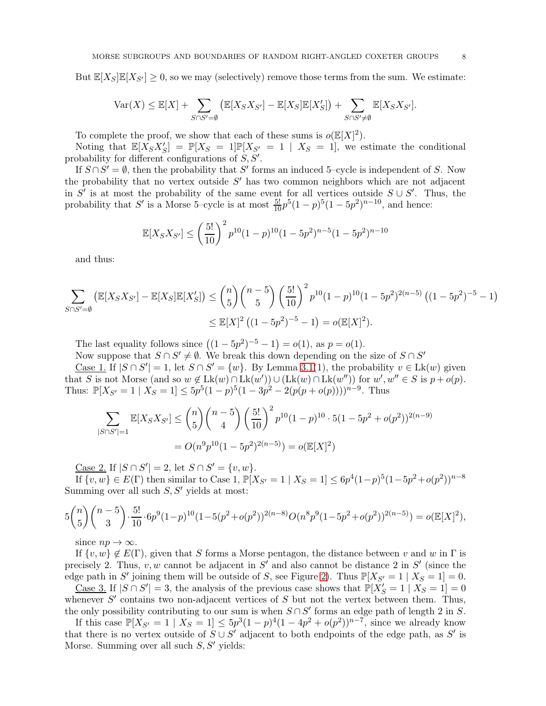But  $\mathbb{E}[X_S|\mathbb{E}[X_{S'}] \geq 0$ , so we may (selectively) remove those terms from the sum. We estimate:

$$
\text{Var}(X) \leq \mathbb{E}[X] + \sum_{S \cap S' = \emptyset} \left( \mathbb{E}[X_S X_{S'}] - \mathbb{E}[X_S] \mathbb{E}[X'_{S}] \right) + \sum_{S \cap S' \neq \emptyset} \mathbb{E}[X_S X_{S'}].
$$

To complete the proof, we show that each of these sums is  $o(\mathbb{E}[X]^2)$ .

Noting that  $\mathbb{E}[X_S X_S'] = \mathbb{P}[X_S = 1] \mathbb{P}[X_{S'} = 1 | X_S = 1]$ , we estimate the conditional probability for different configurations of  $S, S'$ .

If  $S \cap S' = \emptyset$ , then the probability that S' forms an induced 5-cycle is independent of S. Now the probability that no vertex outside  $S'$  has two common neighbors which are not adjacent in S' is at most the probability of the same event for all vertices outside  $S \cup S'$ . Thus, the probability that S' is a Morse 5–cycle is at most  $\frac{5!}{10}p^5(1-p)^5(1-5p^2)^{n-10}$ , and hence:

$$
\mathbb{E}[X_S X_{S'}] \le \left(\frac{5!}{10}\right)^2 p^{10} (1-p)^{10} (1-5p^2)^{n-5} (1-5p^2)^{n-10}
$$

and thus:

$$
\sum_{S \cap S' = \emptyset} \left( \mathbb{E}[X_S X_{S'}] - \mathbb{E}[X_S] \mathbb{E}[X'_S] \right) \le \binom{n}{5} \binom{n-5}{5} \left( \frac{5!}{10} \right)^2 p^{10} (1-p)^{10} (1-5p^2)^{2(n-5)} \left( (1-5p^2)^{-5} - 1 \right)
$$
  

$$
\le \mathbb{E}[X]^2 \left( (1-5p^2)^{-5} - 1 \right) = o(\mathbb{E}[X]^2).
$$

The last equality follows since  $((1 - 5p^2)^{-5} - 1) = o(1)$ , as  $p = o(1)$ .

Now suppose that  $S \cap S' \neq \emptyset$ . We break this down depending on the size of  $S \cap S'$ 

<u>Case 1.</u> If  $|S \cap S'| = 1$ , let  $S \cap S' = \{w\}$ . By Lemma [3.1\(](#page-5-2)1), the probability  $v \in L\mathbf{k}(w)$  given that S is not Morse (and so  $w \notin \text{Lk}(w) \cap \text{Lk}(w') \cup (\text{Lk}(w) \cap \text{Lk}(w''))$  for  $w', w'' \in S$  is  $p + o(p)$ . Thus:  $\mathbb{P}[X_{S'}=1 | X_S=1] \le 5p^5(1-p)^5(1-3p^2-2(p(p+o(p))))^{n-9}$ . Thus

$$
\sum_{|S \cap S'|=1} \mathbb{E}[X_S X_{S'}] \le {n \choose 5} {n-5 \choose 4} \left(\frac{5!}{10}\right)^2 p^{10} (1-p)^{10} \cdot 5(1-5p^2+o(p^2))^{2(n-9)}
$$
  
=  $O(n^9 p^{10} (1-5p^2)^{2(n-5)}) = o(\mathbb{E}[X]^2)$ 

 $\frac{\text{Case 2.}}{2}$  If  $|S \cap S'| = 2$ , let  $S \cap S' = \{v, w\}.$ 

If  $\{v, w\} \in E(\Gamma)$  then similar to Case 1,  $\mathbb{P}[X_{S'} = 1 \mid X_S = 1] \le 6p^4(1-p)^5(1-5p^2+o(p^2))^{n-8}$ Summing over all such  $S, S'$  yields at most:

$$
5\binom{n}{5}\binom{n-5}{3} \cdot \frac{5!}{10} \cdot 6p^9(1-p)^{10}(1-5(p^2+o(p^2))^{2(n-8)}O(n^8p^9(1-5p^2+o(p^2))^{2(n-5)}) = o(\mathbb{E}[X]^2),
$$

since  $np \to \infty$ .

If  $\{v, w\} \notin E(\Gamma)$ , given that S forms a Morse pentagon, the distance between v and w in  $\Gamma$  is precisely 2. Thus,  $v, w$  cannot be adjacent in S' and also cannot be distance 2 in S' (since the edge path in S' joining them will be outside of S, see Figure [2\)](#page-8-1). Thus  $\mathbb{P}[X_{S'} = 1 | X_S = 1] = 0$ .

<u>Case 3.</u> If  $|S \cap S'| = 3$ , the analysis of the previous case shows that  $\mathbb{P}[X_{S}' = 1 | X_{S} = 1] = 0$ whenever  $S'$  contains two non-adjacent vertices of  $S$  but not the vertex between them. Thus, the only possibility contributing to our sum is when  $S \cap S'$  forms an edge path of length 2 in S.

If this case  $\mathbb{P}[X_{S'} = 1 | X_S = 1] \le 5p^3(1-p)^4(1-4p^2+o(p^2))^{n-7}$ , since we already know that there is no vertex outside of  $S \cup S'$  adjacent to both endpoints of the edge path, as S' is Morse. Summing over all such  $S, S'$  yields: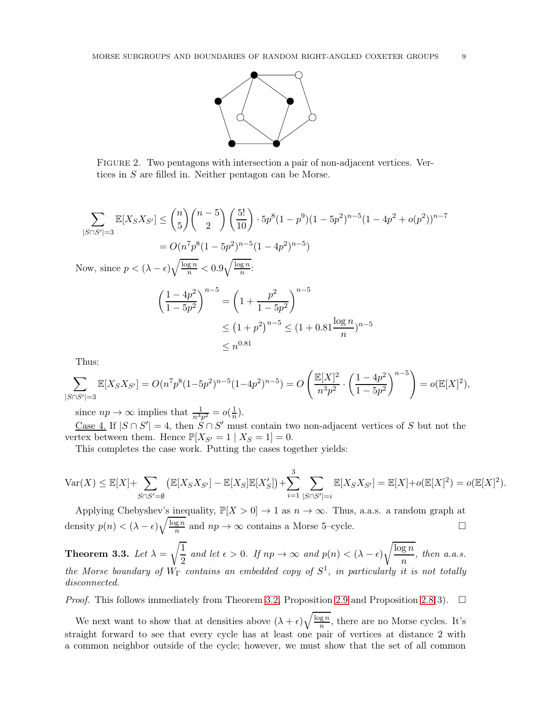

<span id="page-8-1"></span>Figure 2. Two pentagons with intersection a pair of non-adjacent vertices. Vertices in S are filled in. Neither pentagon can be Morse.

$$
\sum_{|S \cap S'|=3} \mathbb{E}[X_S X_{S'}] \le {n \choose 5} {n-5 \choose 2} \left(\frac{5!}{10}\right) \cdot 5p^8 (1-p^9)(1-5p^2)^{n-5} (1-4p^2+o(p^2))^{n-7}
$$
  
\n
$$
= O(n^7p^8(1-5p^2)^{n-5}(1-4p^2)^{n-5})
$$
  
\nNow, since  $p < (\lambda - \epsilon) \sqrt{\frac{\log n}{n}} < 0.9 \sqrt{\frac{\log n}{n}}$ :  
\n
$$
\left(\frac{1-4p^2}{1-5p^2}\right)^{n-5} = \left(1 + \frac{p^2}{1-5p^2}\right)^{n-5}
$$
  
\n
$$
\leq (1+p^2)^{n-5} \leq (1+0.81\frac{\log n}{n})^{n-5}
$$
  
\n
$$
\leq n^{0.81}
$$

Thus:

$$
\sum_{|S\cap S'|=3} \mathbb{E}[X_S X_{S'}] = O(n^7 p^8 (1-5p^2)^{n-5} (1-4p^2)^{n-5}) = O\left(\frac{\mathbb{E}[X]^2}{n^3 p^2} \cdot \left(\frac{1-4p^2}{1-5p^2}\right)^{n-5}\right) = o(\mathbb{E}[X]^2),
$$

since  $np \to \infty$  implies that  $\frac{1}{n^3p^2} = o(\frac{1}{n})$  $\frac{1}{n}$ ).

Case 4. If  $|S \cap S'| = 4$ , then  $S \cap S'$  must contain two non-adjacent vertices of S but not the vertex between them. Hence  $\mathbb{P}[X_{S'} = 1 | X_S = 1] = 0$ .

This completes the case work. Putting the cases together yields:

$$
\text{Var}(X) \le \mathbb{E}[X] + \sum_{S \cap S' = \emptyset} \left( \mathbb{E}[X_S X_{S'}] - \mathbb{E}[X_S] \mathbb{E}[X'_S] \right) + \sum_{i=1}^3 \sum_{|S \cap S'| = i} \mathbb{E}[X_S X_{S'}] = \mathbb{E}[X] + o(\mathbb{E}[X]^2) = o(\mathbb{E}[X]^2).
$$

Applying Chebyshev's inequality,  $\mathbb{P}[X > 0] \to 1$  as  $n \to \infty$ . Thus, a.a.s. a random graph at density  $p(n) < (\lambda - \epsilon) \sqrt{\frac{\log n}{n}}$  $\frac{gn}{n}$  and  $np \to \infty$  contains a Morse 5–cycle.

<span id="page-8-0"></span>**Theorem 3.3.** Let  $\lambda =$  $\sqrt{1}$  $\frac{1}{2}$  and let  $\epsilon > 0$ . If  $np \to \infty$  and  $p(n) < (\lambda - \epsilon)$  $\log n$  $\frac{e^{i\alpha}}{n}$ , then a.a.s. *the Morse boundary of*  $W_{\Gamma}$  *contains an embedded copy of*  $S^1$ *, in particularly it is not totally disconnected.*

*Proof.* This follows immediately from Theorem [3.2,](#page-6-0) Proposition [2.9](#page-5-1) and Proposition [2.8\(](#page-4-0)3).  $\Box$ 

We next want to show that at densities above  $(\lambda + \epsilon) \sqrt{\frac{\log n}{n}}$  $\frac{gn}{n}$ , there are no Morse cycles. It's straight forward to see that every cycle has at least one pair of vertices at distance 2 with a common neighbor outside of the cycle; however, we must show that the set of all common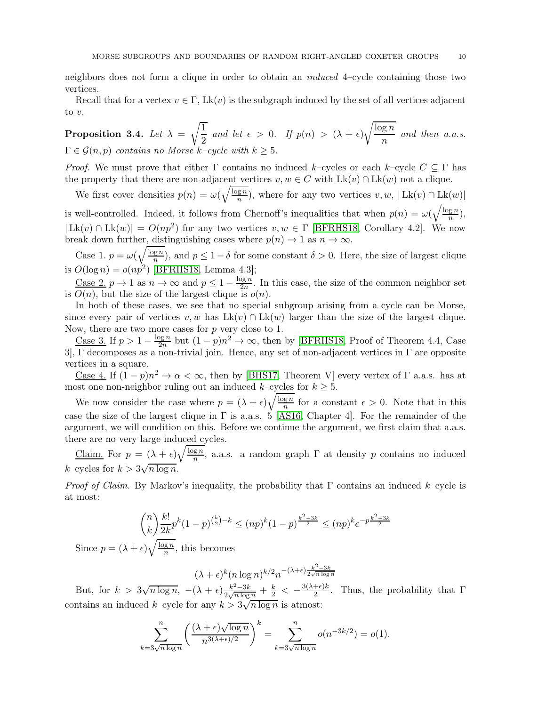neighbors does not form a clique in order to obtain an *induced* 4–cycle containing those two vertices.

Recall that for a vertex  $v \in \Gamma$ , Lk(v) is the subgraph induced by the set of all vertices adjacent to v.

<span id="page-9-0"></span>Proposition 3.4. Let  $\lambda =$  $\sqrt{1}$  $\frac{1}{2}$  and let  $\epsilon > 0$ . If  $p(n) > (\lambda + \epsilon)$  $\log n$  $\frac{8}{n}$  and then a.a.s.  $\Gamma \in \mathcal{G}(n,p)$  *contains no Morse*  $k$ *-cycle with*  $k \geq 5$ *.* 

*Proof.* We must prove that either  $\Gamma$  contains no induced k–cycles or each k–cycle  $C \subseteq \Gamma$  has the property that there are non-adjacent vertices  $v, w \in C$  with  $Lk(v) \cap Lk(w)$  not a clique.

We first cover densities  $p(n) = \omega(\sqrt{\frac{\log n}{n}})$  $\frac{g n}{n}$ , where for any two vertices  $v, w, | Lk(v) \cap Lk(w) |$ is well-controlled. Indeed, it follows from Chernoff's inequalities that when  $p(n) = \omega(\sqrt{\frac{\log n}{n}})$  $\frac{\mathbf{g}\,n}{n}$ ),  $| \text{Lk}(v) \cap \text{Lk}(w) | = O(np^2)$  for any two vertices  $v, w \in \Gamma$  [\[BFRHS18,](#page-12-9) Corollary 4.2]. We now break down further, distinguishing cases where  $p(n) \to 1$  as  $n \to \infty$ .

Case 1.  $p = \omega(\sqrt{\frac{\log n}{n}})$  $\frac{gn}{n}$ , and  $p \leq 1-\delta$  for some constant  $\delta > 0$ . Here, the size of largest clique is  $O(\log n) = o(np^2)$  [\[BFRHS18,](#page-12-9) Lemma 4.3];

Case 2.  $p \to 1$  as  $n \to \infty$  and  $p \leq 1 - \frac{\log n}{2n}$  $\frac{\log n}{2n}$ . In this case, the size of the common neighbor set is  $O(n)$ , but the size of the largest clique is  $o(n)$ .

In both of these cases, we see that no special subgroup arising from a cycle can be Morse, since every pair of vertices v, w has  $Lk(v) \cap Lk(w)$  larger than the size of the largest clique. Now, there are two more cases for  $p$  very close to 1.

Case 3. If  $p > 1 - \frac{\log n}{2n}$  $\frac{\log n}{2n}$  but  $(1-p)n^2 \to \infty$ , then by [\[BFRHS18,](#page-12-9) Proof of Theorem 4.4, Case 3], Γ decomposes as a non-trivial join. Hence, any set of non-adjacent vertices in Γ are opposite vertices in a square.

<u>Case 4.</u> If  $(1-p)n^2 \to \alpha < \infty$ , then by [\[BHS17,](#page-12-8) Theorem V] every vertex of  $\Gamma$  a.a.s. has at most one non-neighbor ruling out an induced  $k$ –cycles for  $k \geq 5$ .

We now consider the case where  $p = (\lambda + \epsilon) \sqrt{\frac{\log n}{n}}$  $\frac{gn}{n}$  for a constant  $\epsilon > 0$ . Note that in this case the size of the largest clique in  $\Gamma$  is a.a.s. 5 [\[AS16,](#page-12-19) Chapter 4]. For the remainder of the argument, we will condition on this. Before we continue the argument, we first claim that a.a.s. there are no very large induced cycles.

Claim. For  $p = (\lambda + \epsilon) \sqrt{\frac{\log n}{n}}$  $\frac{g n}{n}$ , a.a.s. a random graph  $\Gamma$  at density p contains no induced  $k$ -cycles for  $k > 3\sqrt{n \log n}$ .

*Proof of Claim.* By Markov's inequality, the probability that  $\Gamma$  contains an induced k–cycle is at most:

$$
\binom{n}{k} \frac{k!}{2k} p^k (1-p)^{\binom{k}{2}-k} \le (np)^k (1-p)^{\frac{k^2-3k}{2}} \le (np)^k e^{-p\frac{k^2-3k}{2}}
$$

Since  $p = (\lambda + \epsilon) \sqrt{\frac{\log n}{n}}$  $\frac{g n}{n}$ , this becomes

$$
(\lambda + \epsilon)^k (n \log n)^{k/2} n^{-(\lambda + \epsilon) \frac{k^2 - 3k}{2\sqrt{n \log n}}}
$$

But, for  $k > 3\sqrt{n \log n}$ ,  $-(\lambda + \epsilon) \frac{k^2 - 3k}{2\sqrt{n \log n}} + \frac{k}{2} < -\frac{3(\lambda + \epsilon)k}{2}$  $\frac{1+\epsilon}{2}$ . Thus, the probability that  $\Gamma$ contains an induced k–cycle for any  $k > 3\sqrt{n \log n}$  is atmost:

$$
\sum_{k=3\sqrt{n\log n}}^{n} \left( \frac{(\lambda + \epsilon)\sqrt{\log n}}{n^{3(\lambda + \epsilon)/2}} \right)^k = \sum_{k=3\sqrt{n\log n}}^{n} o(n^{-3k/2}) = o(1).
$$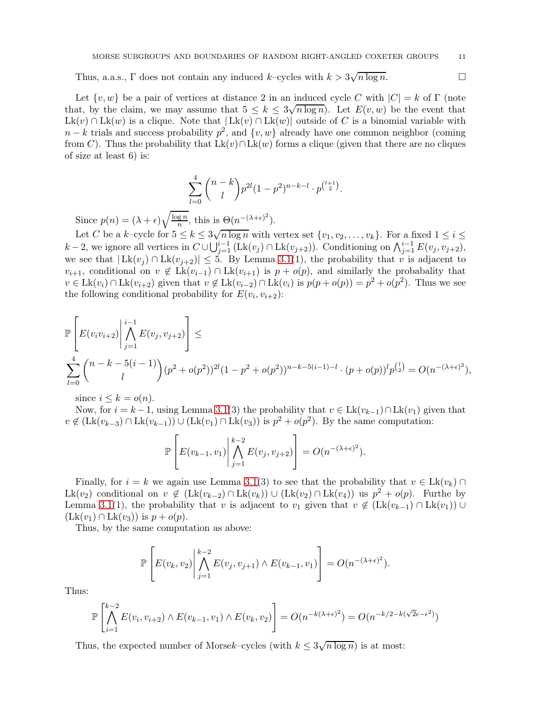Thus, a.a.s.,  $\Gamma$  does not contain any induced  $k$ -cycles with  $k > 3\sqrt{n \log n}$ .

Let  $\{v, w\}$  be a pair of vertices at distance 2 in an induced cycle C with  $|C| = k$  of  $\Gamma$  (note that, by the claim, we may assume that  $5 \le k \le 3\sqrt{n \log n}$ . Let  $E(v, w)$  be the event that Lk(v) ∩ Lk(w) is a clique. Note that  $| Lk(v) \cap Lk(w) |$  outside of C is a binomial variable with  $n - k$  trials and success probability  $p^2$ , and  $\{v, w\}$  already have one common neighbor (coming from C). Thus the probability that  $Lk(v) \cap Lk(w)$  forms a clique (given that there are no cliques of size at least 6) is:

$$
\sum_{l=0}^{4} \binom{n-k}{l} p^{2l} (1-p^2)^{n-k-l} \cdot p^{\binom{l+1}{2}}.
$$

Since  $p(n) = (\lambda + \epsilon) \sqrt{\frac{\log n}{n}}$  $\frac{\mathrm{g}\,n}{n}$ , this is  $\Theta(n^{-(\lambda+\epsilon)^2})$ .

Let C be a k–cycle for  $5 \leq k \leq 3\sqrt{n \log n}$  with vertex set  $\{v_1, v_2, \ldots, v_k\}$ . For a fixed  $1 \leq i \leq k$ k − 2, we ignore all vertices in  $C \cup \bigcup_{j=1}^{i-1} (\mathrm{Lk}(v_j) \cap \mathrm{Lk}(v_{j+2}))$ . Conditioning on  $\bigwedge_{j=1}^{i-1} E(v_j, v_{j+2}),$ we see that  $| Lk(v_j) \cap Lk(v_{j+2}) | \leq 5$ . By Lemma [3.1\(](#page-5-2)1), the probability that v is adjacent to  $v_{i+1}$ , conditional on  $v \notin \mathrm{Lk}(v_{i-1}) \cap \mathrm{Lk}(v_{i+1})$  is  $p + o(p)$ , and similarly the probabality that  $v \in \mathrm{Lk}(v_i) \cap \mathrm{Lk}(v_{i+2})$  given that  $v \notin \mathrm{Lk}(v_{i-2}) \cap \mathrm{Lk}(v_i)$  is  $p(p + o(p)) = p^2 + o(p^2)$ . Thus we see the following conditional probability for  $E(v_i, v_{i+2})$ :

$$
\mathbb{P}\left[E(v_iv_{i+2})\middle|\bigwedge_{j=1}^{i-1}E(v_j,v_{j+2})\right] \leq
$$
\n
$$
\sum_{l=0}^{4} {n-k-5(i-1) \choose l} (p^2+o(p^2))^{2l} (1-p^2+o(p^2))^{n-k-5(i-1)-l} \cdot (p+o(p))^l p^{l \choose 2} = O(n^{-(\lambda+\epsilon)^2}),
$$

since  $i \leq k = o(n)$ .

Now, for  $i = k - 1$ , using Lemma [3.1\(](#page-5-2)3) the probability that  $v \in \text{Lk}(v_{k-1}) \cap \text{Lk}(v_1)$  given that  $v \notin (Lk(v_{k-3}) \cap Lk(v_{k-1})) \cup (Lk(v_1) \cap Lk(v_3))$  is  $p^2 + o(p^2)$ . By the same computation:

$$
\mathbb{P}\left[E(v_{k-1},v_1)\middle|\bigwedge_{j=1}^{k-2}E(v_j,v_{j+2})\right]=O(n^{-(\lambda+\epsilon)^2}).
$$

Finally, for  $i = k$  we again use Lemma [3.1\(](#page-5-2)3) to see that the probability that  $v \in Lk(v_k)$ Lk(v<sub>2</sub>) conditional on  $v \notin (Lk(v_{k-2}) \cap Lk(v_k)) \cup (Lk(v_2) \cap Lk(v_4))$  us  $p^2 + o(p)$ . Furthe by Lemma [3.1\(](#page-5-2)1), the probability that v is adjacent to v<sub>1</sub> given that  $v \notin (Lk(v_{k-1}) \cap Lk(v_1)) \cup$  $(Lk(v_1) \cap Lk(v_3))$  is  $p + o(p)$ .

Thus, by the same computation as above:

$$
\mathbb{P}\left[E(v_k, v_2)\middle|\bigwedge_{j=1}^{k-2} E(v_j, v_{j+1}) \wedge E(v_{k-1}, v_1)\right] = O(n^{-(\lambda + \epsilon)^2}).
$$

Thus:

$$
\mathbb{P}\left[\bigwedge_{i=1}^{k-2} E(v_i, v_{i+2}) \wedge E(v_{k-1}, v_1) \wedge E(v_k, v_2)\right] = O(n^{-k(\lambda + \epsilon)^2}) = O(n^{-k/2 - k(\sqrt{2}\epsilon - \epsilon^2)})
$$

Thus, the expected number of Morsek–cycles (with  $k \leq 3\sqrt{n \log n}$ ) is at most: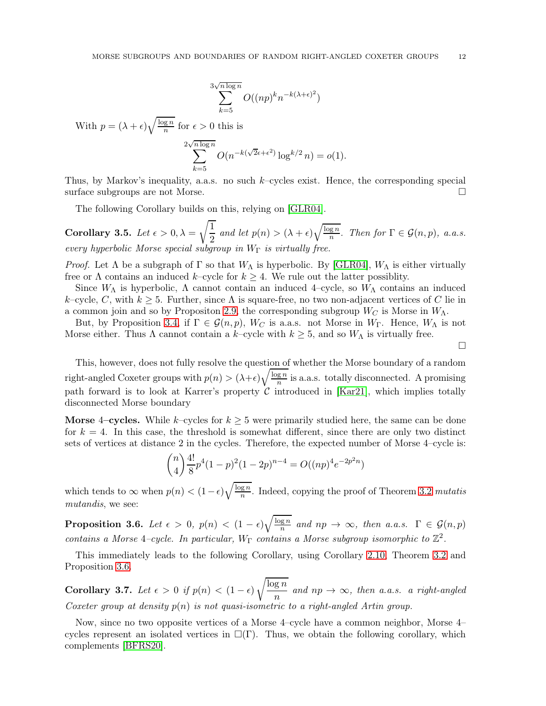$$
\sum_{k=5}^{3\sqrt{n\log n}} O((np)^k n^{-k(\lambda+\epsilon)^2})
$$

With  $p = (\lambda + \epsilon) \sqrt{\frac{\log n}{n}}$  $\frac{\mathbf{g} n}{n}$  for  $\epsilon > 0$  this is

$$
\sum_{k=5}^{2\sqrt{n\log n}} O(n^{-k(\sqrt{2}\epsilon + \epsilon^2)} \log^{k/2} n) = o(1).
$$

Thus, by Markov's inequality, a.a.s. no such k–cycles exist. Hence, the corresponding special surface subgroups are not Morse.

The following Corollary builds on this, relying on [\[GLR04\]](#page-12-20).

<span id="page-11-0"></span>Corollary 3.5. Let  $\epsilon > 0, \lambda =$  $\sqrt{1}$  $\frac{1}{2}$  and let  $p(n) > (\lambda + \epsilon) \sqrt{\frac{\log n}{n}}$  $\frac{g n}{n}$ *. Then for*  $\Gamma \in \mathcal{G}(n, p)$ *, a.a.s. every hyperbolic Morse special subgroup in* W<sup>Γ</sup> *is virtually free.*

*Proof.* Let  $\Lambda$  be a subgraph of  $\Gamma$  so that  $W_{\Lambda}$  is hyperbolic. By [\[GLR04\]](#page-12-20),  $W_{\Lambda}$  is either virtually free or  $\Lambda$  contains an induced k–cycle for  $k \geq 4$ . We rule out the latter possiblity.

Since  $W_{\Lambda}$  is hyperbolic,  $\Lambda$  cannot contain an induced 4–cycle, so  $W_{\Lambda}$  contains an induced k–cycle, C, with  $k \geq 5$ . Further, since  $\Lambda$  is square-free, no two non-adjacent vertices of C lie in a common join and so by Propositon [2.9,](#page-5-1) the corresponding subgroup  $W_C$  is Morse in  $W_\Lambda$ .

But, by Proposition [3.4,](#page-9-0) if  $\Gamma \in \mathcal{G}(n, p)$ ,  $W_C$  is a.a.s. not Morse in  $W_{\Gamma}$ . Hence,  $W_{\Lambda}$  is not Morse either. Thus  $\Lambda$  cannot contain a k–cycle with  $k \geq 5$ , and so  $W_{\Lambda}$  is virtually free.

 $\Box$ 

This, however, does not fully resolve the question of whether the Morse boundary of a random right-angled Coxeter groups with  $p(n) > (\lambda + \epsilon) \sqrt{\frac{\log n}{n}}$  $\frac{gn}{n}$  is a.a.s. totally disconnected. A promising path forward is to look at Karrer's property  $\mathcal C$  introduced in [\[Kar21\]](#page-12-21), which implies totally disconnected Morse boundary

Morse 4–cycles. While k–cycles for  $k \geq 5$  were primarily studied here, the same can be done for  $k = 4$ . In this case, the threshold is somewhat different, since there are only two distinct sets of vertices at distance 2 in the cycles. Therefore, the expected number of Morse 4–cycle is:

$$
\binom{n}{4} \frac{4!}{8} p^4 (1-p)^2 (1-2p)^{n-4} = O((np)^4 e^{-2p^2 n})
$$

which tends to  $\infty$  when  $p(n) < (1 - \epsilon) \sqrt{\frac{\log n}{n}}$ n . Indeed, copying the proof of Theorem [3.2](#page-6-0) *mutatis mutandis*, we see:

<span id="page-11-2"></span>Proposition 3.6. Let  $\epsilon > 0$ ,  $p(n) < (1 - \epsilon) \sqrt{\frac{\log n}{n}}$  $\frac{gn}{n}$  and  $np \to \infty$ , then a.a.s.  $\Gamma \in \mathcal{G}(n, p)$ *contains a Morse 4-cycle. In particular,*  $W_{\Gamma}$  *contains a Morse subgroup isomorphic to*  $\mathbb{Z}^2$ *.* 

This immediately leads to the following Corollary, using Corollary [2.10,](#page-5-3) Theorem [3.2](#page-6-0) and Proposition [3.6.](#page-11-2)

<span id="page-11-1"></span>Corollary 3.7. *Let*  $\epsilon > 0$  *if*  $p(n) < (1 - \epsilon)$  $\log n$  $\frac{S}{n}$  and  $np \to \infty$ , then a.a.s. a right-angled *Coxeter group at density* p(n) *is not quasi-isometric to a right-angled Artin group.*

Now, since no two opposite vertices of a Morse 4–cycle have a common neighbor, Morse 4– cycles represent an isolated vertices in  $\square(\Gamma)$ . Thus, we obtain the following corollary, which complements [\[BFRS20\]](#page-12-10).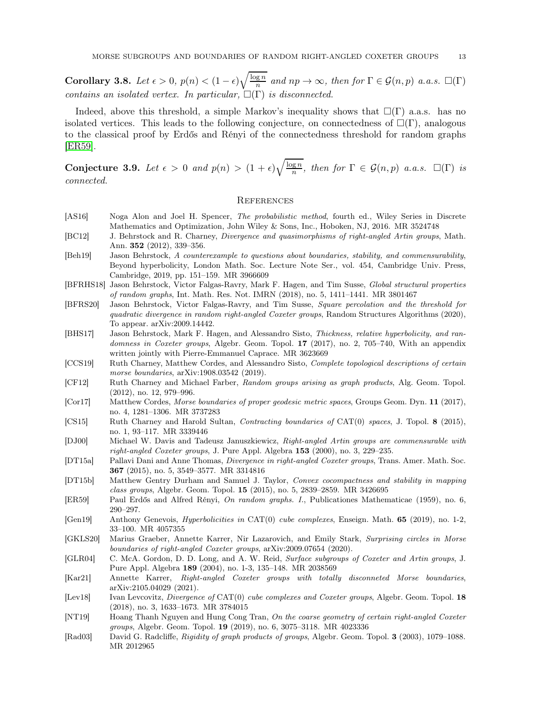<span id="page-12-11"></span>Corollary 3.8. Let  $\epsilon > 0$ ,  $p(n) < (1 - \epsilon) \sqrt{\frac{\log n}{n}}$  $\frac{g n}{n}$  and  $n p \to \infty$ , then for  $\Gamma \in \mathcal{G}(n, p)$  *a.a.s.*  $\square(\Gamma)$ *contains an isolated vertex. In particular,*  $\square(\Gamma)$  *is disconnected.* 

Indeed, above this threshold, a simple Markov's inequality shows that  $\square(\Gamma)$  a.a.s. has no isolated vertices. This leads to the following conjecture, on connectedness of  $\square(\Gamma)$ , analogous to the classical proof by Erdős and Rényi of the connectedness threshold for random graphs [\[ER59\]](#page-12-12).

Conjecture 3.9. Let  $\epsilon > 0$  and  $p(n) > (1 + \epsilon)\sqrt{\frac{\log n}{n}}$  $\frac{gn}{n}$ , then for  $\Gamma \in \mathcal{G}(n,p)$  *a.a.s.*  $\square(\Gamma)$  *is connected.*

### **REFERENCES**

- <span id="page-12-19"></span>[AS16] Noga Alon and Joel H. Spencer, The probabilistic method, fourth ed., Wiley Series in Discrete Mathematics and Optimization, John Wiley & Sons, Inc., Hoboken, NJ, 2016. MR 3524748
- <span id="page-12-1"></span>[BC12] J. Behrstock and R. Charney, Divergence and quasimorphisms of right-angled Artin groups, Math. Ann. 352 (2012), 339–356.
- <span id="page-12-6"></span>[Beh19] Jason Behrstock, A counterexample to questions about boundaries, stability, and commensurability, Beyond hyperbolicity, London Math. Soc. Lecture Note Ser., vol. 454, Cambridge Univ. Press, Cambridge, 2019, pp. 151–159. MR 3966609
- <span id="page-12-9"></span>[BFRHS18] Jason Behrstock, Victor Falgas-Ravry, Mark F. Hagen, and Tim Susse, Global structural properties of random graphs, Int. Math. Res. Not. IMRN (2018), no. 5, 1411–1441. MR 3801467
- <span id="page-12-10"></span>[BFRS20] Jason Behrstock, Victor Falgas-Ravry, and Tim Susse, Square percolation and the threshold for quadratic divergence in random right-angled Coxeter groups, Random Structures Algorithms (2020), To appear. arXiv:2009.14442.
- <span id="page-12-8"></span>[BHS17] Jason Behrstock, Mark F. Hagen, and Alessandro Sisto, Thickness, relative hyperbolicity, and randomness in Coxeter groups, Algebr. Geom. Topol. 17 (2017), no. 2, 705–740, With an appendix written jointly with Pierre-Emmanuel Caprace. MR 3623669
- <span id="page-12-5"></span>[CCS19] Ruth Charney, Matthew Cordes, and Alessandro Sisto, Complete topological descriptions of certain morse boundaries, arXiv:1908.03542 (2019).
- <span id="page-12-7"></span>[CF12] Ruth Charney and Michael Farber, Random groups arising as graph products, Alg. Geom. Topol. (2012), no. 12, 979–996.
- <span id="page-12-4"></span>[Cor17] Matthew Cordes, Morse boundaries of proper geodesic metric spaces, Groups Geom. Dyn. 11 (2017), no. 4, 1281–1306. MR 3737283
- <span id="page-12-3"></span>[CS15] Ruth Charney and Harold Sultan, Contracting boundaries of CAT(0) spaces, J. Topol. 8 (2015), no. 1, 93–117. MR 3339446
- <span id="page-12-0"></span>[DJ00] Michael W. Davis and Tadeusz Januszkiewicz, Right-angled Artin groups are commensurable with right-angled Coxeter groups, J. Pure Appl. Algebra 153 (2000), no. 3, 229–235.
- <span id="page-12-2"></span>[DT15a] Pallavi Dani and Anne Thomas, Divergence in right-angled Coxeter groups, Trans. Amer. Math. Soc. 367 (2015), no. 5, 3549–3577. MR 3314816
- <span id="page-12-18"></span>[DT15b] Matthew Gentry Durham and Samuel J. Taylor, *Convex cocompactness and stability in mapping* class groups, Algebr. Geom. Topol. 15 (2015), no. 5, 2839–2859. MR 3426695
- <span id="page-12-12"></span>[ER59] Paul Erdős and Alfred Rényi, On random graphs. I., Publicationes Mathematicae (1959), no. 6, 290–297.
- <span id="page-12-17"></span>[Gen19] Anthony Genevois, Hyperbolicities in CAT(0) cube complexes, Enseign. Math. 65 (2019), no. 1-2, 33–100. MR 4057355
- <span id="page-12-14"></span>[GKLS20] Marius Graeber, Annette Karrer, Nir Lazarovich, and Emily Stark, Surprising circles in Morse boundaries of right-angled Coxeter groups, arXiv:2009.07654 (2020).
- <span id="page-12-20"></span>[GLR04] C. McA. Gordon, D. D. Long, and A. W. Reid, Surface subgroups of Coxeter and Artin groups, J. Pure Appl. Algebra 189 (2004), no. 1-3, 135–148. MR 2038569
- <span id="page-12-21"></span>[Kar21] Annette Karrer, Right-angled Coxeter groups with totally disconneted Morse boundaries, arXiv:2105.04029 (2021).
- <span id="page-12-13"></span>[Lev18] Ivan Levcovitz, Divergence of CAT(0) cube complexes and Coxeter groups, Algebr. Geom. Topol. 18 (2018), no. 3, 1633–1673. MR 3784015
- <span id="page-12-15"></span>[NT19] Hoang Thanh Nguyen and Hung Cong Tran, On the coarse geometry of certain right-angled Coxeter groups, Algebr. Geom. Topol. 19 (2019), no. 6, 3075–3118. MR 4023336
- <span id="page-12-16"></span>[Rad03] David G. Radcliffe, Rigidity of graph products of groups, Algebr. Geom. Topol. 3 (2003), 1079–1088. MR 2012965